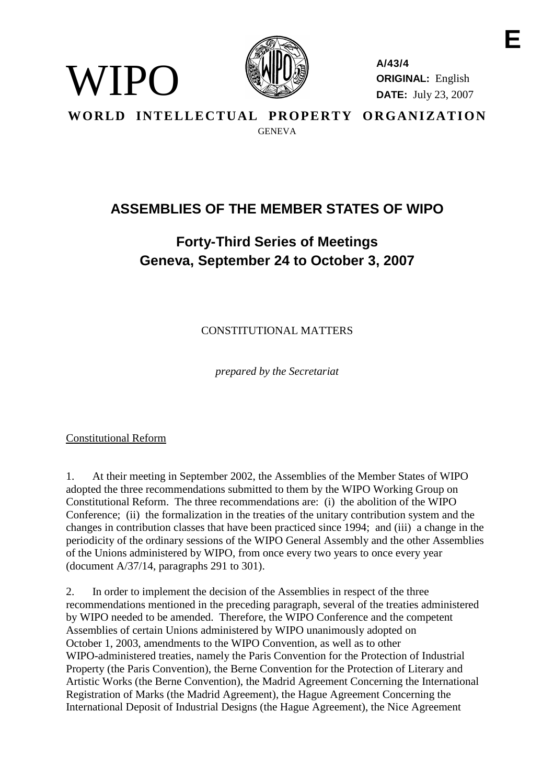

**A/43/4 ORIGINAL:** English **DATE:** July 23, 2007

WORLD INTELLECTUAL PROPERTY ORGANIZATION GENEVA

# **ASSEMBLIES OF THE MEMBER STATES OF WIPO**

# **Forty-Third Series of Meetings Geneva, September 24 to October 3, 2007**

CONSTITUTIONAL MATTERS

*prepared by the Secretariat*

Constitutional Reform

WIPO)

1. At their meeting in September 2002, the Assemblies of the Member States of WIPO adopted the three recommendations submitted to them by the WIPO Working Group on Constitutional Reform. The three recommendations are: (i) the abolition of the WIPO Conference; (ii) the formalization in the treaties of the unitary contribution system and the changes in contribution classes that have been practiced since 1994; and (iii) a change in the periodicity of the ordinary sessions of the WIPO General Assembly and the other Assemblies of the Unions administered by WIPO, from once every two years to once every year (document A/37/14, paragraphs 291 to 301).

2. In order to implement the decision of the Assemblies in respect of the three recommendations mentioned in the preceding paragraph, several of the treaties administered by WIPO needed to be amended. Therefore, the WIPO Conference and the competent Assemblies of certain Unions administered by WIPO unanimously adopted on October 1, 2003, amendments to the WIPO Convention, as well as to other WIPO-administered treaties, namely the Paris Convention for the Protection of Industrial Property (the Paris Convention), the Berne Convention for the Protection of Literary and Artistic Works (the Berne Convention), the Madrid Agreement Concerning the International Registration of Marks (the Madrid Agreement), the Hague Agreement Concerning the International Deposit of Industrial Designs (the Hague Agreement), the Nice Agreement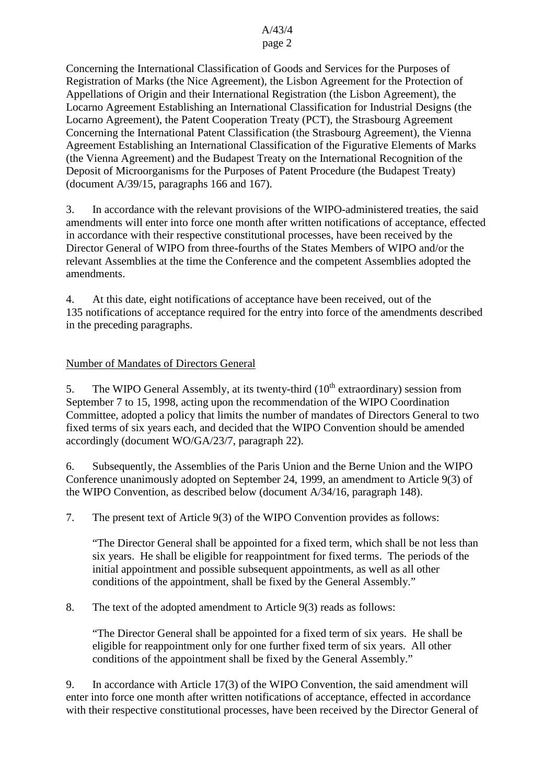#### A/43/4 page 2

Concerning the International Classification of Goods and Services for the Purposes of Registration of Marks (the Nice Agreement), the Lisbon Agreement for the Protection of Appellations of Origin and their International Registration (the Lisbon Agreement), the Locarno Agreement Establishing an International Classification for Industrial Designs (the Locarno Agreement), the Patent Cooperation Treaty (PCT), the Strasbourg Agreement Concerning the International Patent Classification (the Strasbourg Agreement), the Vienna Agreement Establishing an International Classification of the Figurative Elements of Marks (the Vienna Agreement) and the Budapest Treaty on the International Recognition of the Deposit of Microorganisms for the Purposes of Patent Procedure (the Budapest Treaty) (document A/39/15, paragraphs 166 and 167).

3. In accordance with the relevant provisions of the WIPO-administered treaties, the said amendments will enter into force one month after written notifications of acceptance, effected in accordance with their respective constitutional processes, have been received by the Director General of WIPO from three-fourths of the States Members of WIPO and/or the relevant Assemblies at the time the Conference and the competent Assemblies adopted the amendments.

4. At this date, eight notifications of acceptance have been received, out of the 135 notifications of acceptance required for the entry into force of the amendments described in the preceding paragraphs.

### Number of Mandates of Directors General

5. The WIPO General Assembly, at its twenty-third  $(10<sup>th</sup>$  extraordinary) session from September 7 to 15, 1998, acting upon the recommendation of the WIPO Coordination Committee, adopted a policy that limits the number of mandates of Directors General to two fixed terms of six years each, and decided that the WIPO Convention should be amended accordingly (document WO/GA/23/7, paragraph 22).

6. Subsequently, the Assemblies of the Paris Union and the Berne Union and the WIPO Conference unanimously adopted on September 24, 1999, an amendment to Article 9(3) of the WIPO Convention, as described below (document A/34/16, paragraph 148).

7. The present text of Article 9(3) of the WIPO Convention provides as follows:

"The Director General shall be appointed for a fixed term, which shall be not less than six years. He shall be eligible for reappointment for fixed terms. The periods of the initial appointment and possible subsequent appointments, as well as all other conditions of the appointment, shall be fixed by the General Assembly."

8. The text of the adopted amendment to Article 9(3) reads as follows:

"The Director General shall be appointed for a fixed term of six years. He shall be eligible for reappointment only for one further fixed term of six years. All other conditions of the appointment shall be fixed by the General Assembly."

9. In accordance with Article 17(3) of the WIPO Convention, the said amendment will enter into force one month after written notifications of acceptance, effected in accordance with their respective constitutional processes, have been received by the Director General of